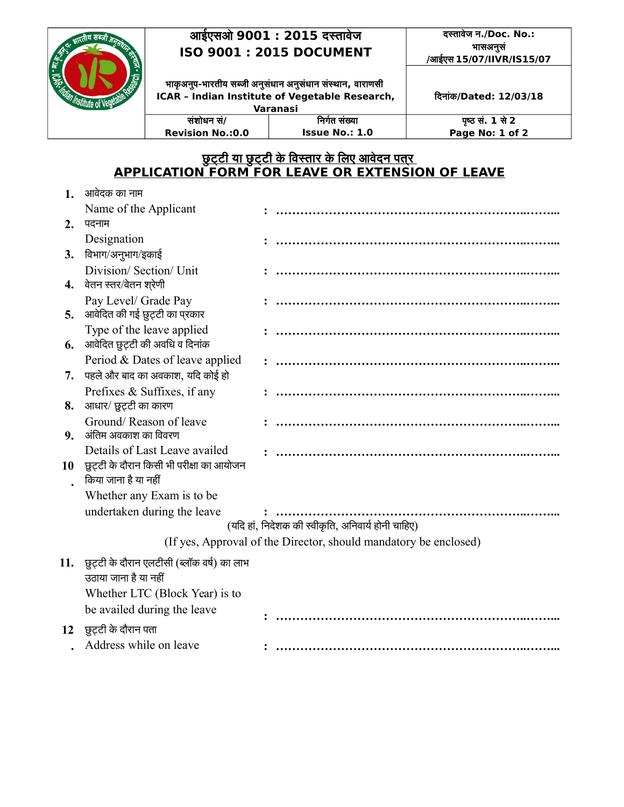## **आईएसओ 9001 : 2015 दस्तताववेज ISO 9001 : 2015 DOCUMENT**

**ससंशशोधन ससं/ Revision No.:0.0**

## **दस्तताववेज न./Doc. No.: भतासअनससं न /आईएस 15/07/IIVR/IS15/07**

**भताककअनपन-भतारततीय सब्जती अनससंधतान अन न ससंधतान ससंस्थतान न , वतारताणसती ICAR – Indian Institute of Vegetable Research, Varanasi**

**ददनतासंक/Dated: 12/03/18**

**पृष्ठ सं. 1 से 2 Page No: 1 of 2**

## <u>छुट्टी या छुट्टी के विस्तार के लिए आवेदन पतर </u> **APPLICATION FORM FOR LEAVE OR EXTENSION OF LEAVE**

**दनरर्गत ससंख्यता Issue No.: 1.0**

| 1.  | आवेदक का नाम                                                              |  |  |  |  |
|-----|---------------------------------------------------------------------------|--|--|--|--|
|     | Name of the Applicant                                                     |  |  |  |  |
| 2.  | पदनाम                                                                     |  |  |  |  |
|     | Designation                                                               |  |  |  |  |
| 3.  | विभाग/अनुभाग/इकाई                                                         |  |  |  |  |
| 4.  | Division/ Section/ Unit<br>वेतन स्तर/वेतन श्ऐणी                           |  |  |  |  |
| 5.  | Pay Level/ Grade Pay<br>आवेदित की गई छुट्टी का प्रकार                     |  |  |  |  |
| 6.  | Type of the leave applied<br>आवेदित छुट्टी की अवधि व दिनांक               |  |  |  |  |
| 7.  | Period & Dates of leave applied<br>पहले और बाद का अवकाश, यदि कोई हो       |  |  |  |  |
| 8.  | Prefixes & Suffixes, if any<br>आधार/ छुट्टी का कारण                       |  |  |  |  |
| 9.  | Ground/Reason of leave<br>अंतिम अवकाश का विवरण                            |  |  |  |  |
| 10  | Details of Last Leave availed<br>छुट़टी के दौरान किसी भी परीक्षा का आयोजन |  |  |  |  |
|     | किया जाना है या नहीं                                                      |  |  |  |  |
|     | Whether any Exam is to be                                                 |  |  |  |  |
|     | undertaken during the leave                                               |  |  |  |  |
|     | (यदि हां, निदेशक की स्वीकृति, अनिवार्य होनी चाहिए)                        |  |  |  |  |
|     | (If yes, Approval of the Director, should mandatory be enclosed)          |  |  |  |  |
| 11. | छुट्टी के दौरान एलटीसी (ब्लॉक वर्ष) का लाभ<br>उठाया जाना है या नहीं       |  |  |  |  |
|     | Whether LTC (Block Year) is to                                            |  |  |  |  |
|     | be availed during the leave                                               |  |  |  |  |
| 12  | छुट्टी के दौरान पता                                                       |  |  |  |  |
|     | Address while on leave                                                    |  |  |  |  |
|     |                                                                           |  |  |  |  |